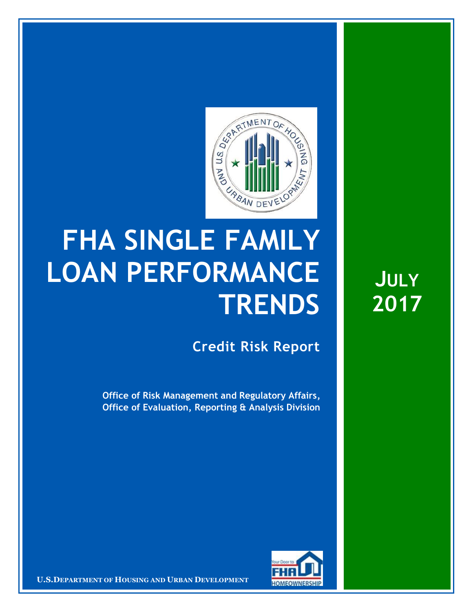

## **FHA SINGLE FAMILY LOAN PERFORMANCE TRENDS**

**Credit Risk Report**

**Office of Risk Management and Regulatory Affairs, Office of Evaluation, Reporting & Analysis Division**



18 August 20171 **Confidential| For Internal Use Only** 1 **U.S.DEPARTMENT OF HOUSING AND URBAN DEVELOPMENT**

**JULY 2017**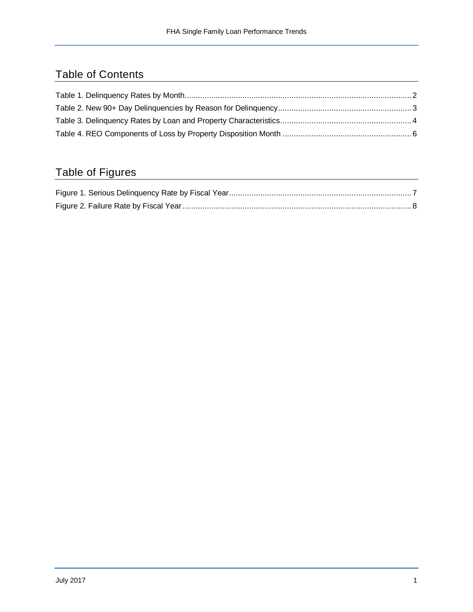## Table of Contents

## Table of Figures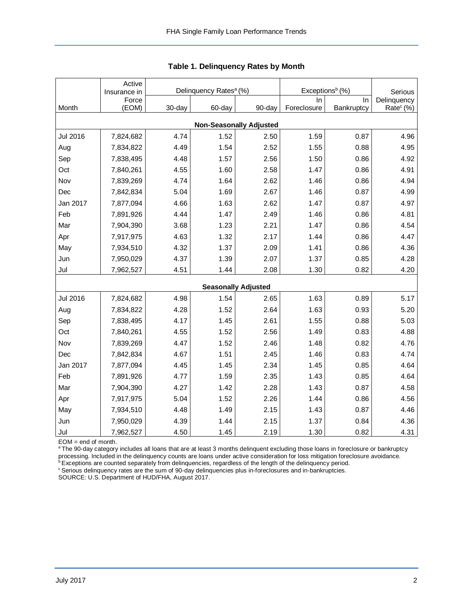<span id="page-2-0"></span>

|                                | Active<br>Insurance in |        | Delinquency Rates <sup>a</sup> (%) |                            | Exceptions <sup>b</sup> (%) | Serious    |                       |  |  |  |
|--------------------------------|------------------------|--------|------------------------------------|----------------------------|-----------------------------|------------|-----------------------|--|--|--|
|                                | Force                  |        |                                    |                            | In                          | In         | Delinquency           |  |  |  |
| Month                          | (EOM)                  | 30-day | 60-day                             | 90-day                     | Foreclosure                 | Bankruptcy | Rate <sup>c</sup> (%) |  |  |  |
| <b>Non-Seasonally Adjusted</b> |                        |        |                                    |                            |                             |            |                       |  |  |  |
| <b>Jul 2016</b>                | 7,824,682              | 4.74   | 1.52                               | 2.50                       | 1.59                        | 0.87       | 4.96                  |  |  |  |
| Aug                            | 7,834,822              | 4.49   | 1.54                               | 2.52                       | 1.55                        | 0.88       | 4.95                  |  |  |  |
| Sep                            | 7,838,495              | 4.48   | 1.57                               | 2.56                       | 1.50                        | 0.86       | 4.92                  |  |  |  |
| Oct                            | 7,840,261              | 4.55   | 1.60                               | 2.58                       | 1.47                        | 0.86       | 4.91                  |  |  |  |
| Nov                            | 7,839,269              | 4.74   | 1.64                               | 2.62                       | 1.46                        | 0.86       | 4.94                  |  |  |  |
| Dec                            | 7,842,834              | 5.04   | 1.69                               | 2.67                       | 1.46                        | 0.87       | 4.99                  |  |  |  |
| Jan 2017                       | 7,877,094              | 4.66   | 1.63                               | 2.62                       | 1.47                        | 0.87       | 4.97                  |  |  |  |
| Feb                            | 7,891,926              | 4.44   | 1.47                               | 2.49                       | 1.46                        | 0.86       | 4.81                  |  |  |  |
| Mar                            | 7,904,390              | 3.68   | 1.23                               | 2.21                       | 1.47                        | 0.86       | 4.54                  |  |  |  |
| Apr                            | 7,917,975              | 4.63   | 1.32                               | 2.17                       | 1.44                        | 0.86       | 4.47                  |  |  |  |
| May                            | 7,934,510              | 4.32   | 1.37                               | 2.09                       | 1.41                        | 0.86       | 4.36                  |  |  |  |
| Jun                            | 7,950,029              | 4.37   | 1.39                               | 2.07                       | 1.37                        | 0.85       | 4.28                  |  |  |  |
| Jul                            | 7,962,527              | 4.51   | 1.44                               | 2.08                       | 1.30                        | 0.82       | 4.20                  |  |  |  |
|                                |                        |        |                                    | <b>Seasonally Adjusted</b> |                             |            |                       |  |  |  |
| <b>Jul 2016</b>                | 7,824,682              | 4.98   | 1.54                               | 2.65                       | 1.63                        | 0.89       | 5.17                  |  |  |  |
| Aug                            | 7,834,822              | 4.28   | 1.52                               | 2.64                       | 1.63                        | 0.93       | 5.20                  |  |  |  |
| Sep                            | 7,838,495              | 4.17   | 1.45                               | 2.61                       | 1.55                        | 0.88       | 5.03                  |  |  |  |
| Oct                            | 7,840,261              | 4.55   | 1.52                               | 2.56                       | 1.49                        | 0.83       | 4.88                  |  |  |  |
| Nov                            | 7,839,269              | 4.47   | 1.52                               | 2.46                       | 1.48                        | 0.82       | 4.76                  |  |  |  |
| Dec                            | 7,842,834              | 4.67   | 1.51                               | 2.45                       | 1.46                        | 0.83       | 4.74                  |  |  |  |
| Jan 2017                       | 7,877,094              | 4.45   | 1.45                               | 2.34                       | 1.45                        | 0.85       | 4.64                  |  |  |  |
| Feb                            | 7,891,926              | 4.77   | 1.59                               | 2.35                       | 1.43                        | 0.85       | 4.64                  |  |  |  |
| Mar                            | 7,904,390              | 4.27   | 1.42                               | 2.28                       | 1.43                        | 0.87       | 4.58                  |  |  |  |
| Apr                            | 7,917,975              | 5.04   | 1.52                               | 2.26                       | 1.44                        | 0.86       | 4.56                  |  |  |  |
| May                            | 7,934,510              | 4.48   | 1.49                               | 2.15                       | 1.43                        | 0.87       | 4.46                  |  |  |  |
| Jun                            | 7,950,029              | 4.39   | 1.44                               | 2.15                       | 1.37                        | 0.84       | 4.36                  |  |  |  |
| Jul                            | 7,962,527              | 4.50   | 1.45                               | 2.19                       | 1.30                        | 0.82       | 4.31                  |  |  |  |

EOM = end of month.

<sup>a</sup> The 90-day category includes all loans that are at least 3 months delinquent excluding those loans in foreclosure or bankruptcy processing. Included in the delinquency counts are loans under active consideration for loss mitigation foreclosure avoidance.

**bExceptions are counted separately from delinquencies, regardless of the length of the delinquency period.** 

 $\textdegree$  Serious delinquency rates are the sum of 90-day delinquencies plus in-foreclosures and in-bankruptcies.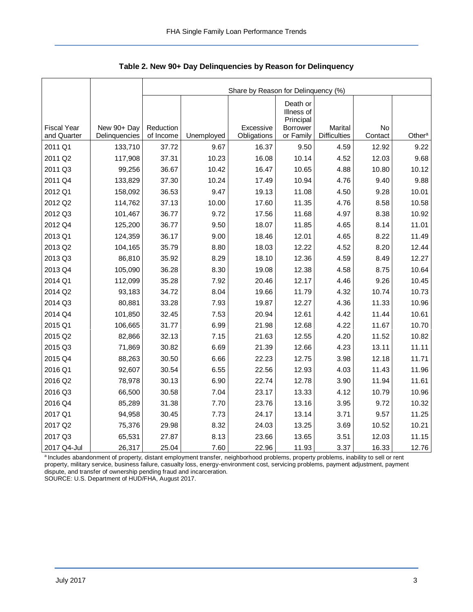|                                   |                              | Share by Reason for Delinquency (%) |            |                          |                                                              |                                |                      |                    |  |  |  |
|-----------------------------------|------------------------------|-------------------------------------|------------|--------------------------|--------------------------------------------------------------|--------------------------------|----------------------|--------------------|--|--|--|
| <b>Fiscal Year</b><br>and Quarter | New 90+ Day<br>Delinquencies | Reduction<br>of Income              | Unemployed | Excessive<br>Obligations | Death or<br>Illness of<br>Principal<br>Borrower<br>or Family | Marital<br><b>Difficulties</b> | <b>No</b><br>Contact | Other <sup>a</sup> |  |  |  |
| 2011 Q1                           | 133,710                      | 37.72                               | 9.67       | 16.37                    | 9.50                                                         | 4.59                           | 12.92                | 9.22               |  |  |  |
| 2011 Q2                           | 117,908                      | 37.31                               | 10.23      | 16.08                    | 10.14                                                        | 4.52                           | 12.03                | 9.68               |  |  |  |
| 2011 Q3                           | 99,256                       | 36.67                               | 10.42      | 16.47                    | 10.65                                                        | 4.88                           | 10.80                | 10.12              |  |  |  |
| 2011 Q4                           | 133,829                      | 37.30                               | 10.24      | 17.49                    | 10.94                                                        | 4.76                           | 9.40                 | 9.88               |  |  |  |
| 2012 Q1                           | 158,092                      | 36.53                               | 9.47       | 19.13                    | 11.08                                                        | 4.50                           | 9.28                 | 10.01              |  |  |  |
| 2012 Q2                           | 114,762                      | 37.13                               | 10.00      | 17.60                    | 11.35                                                        | 4.76                           | 8.58                 | 10.58              |  |  |  |
| 2012 Q3                           | 101,467                      | 36.77                               | 9.72       | 17.56                    | 11.68                                                        | 4.97                           | 8.38                 | 10.92              |  |  |  |
| 2012 Q4                           | 125,200                      | 36.77                               | 9.50       | 18.07                    | 11.85                                                        | 4.65                           | 8.14                 | 11.01              |  |  |  |
| 2013 Q1                           | 124,359                      | 36.17                               | 9.00       | 18.46                    | 12.01                                                        | 4.65                           | 8.22                 | 11.49              |  |  |  |
| 2013 Q2                           | 104,165                      | 35.79                               | 8.80       | 18.03                    | 12.22                                                        | 4.52                           | 8.20                 | 12.44              |  |  |  |
| 2013 Q3                           | 86,810                       | 35.92                               | 8.29       | 18.10                    | 12.36                                                        | 4.59                           | 8.49                 | 12.27              |  |  |  |
| 2013 Q4                           | 105,090                      | 36.28                               | 8.30       | 19.08                    | 12.38                                                        | 4.58                           | 8.75                 | 10.64              |  |  |  |
| 2014 Q1                           | 112,099                      | 35.28                               | 7.92       | 20.46                    | 12.17                                                        | 4.46                           | 9.26                 | 10.45              |  |  |  |
| 2014 Q2                           | 93,183                       | 34.72                               | 8.04       | 19.66                    | 11.79                                                        | 4.32                           | 10.74                | 10.73              |  |  |  |
| 2014 Q3                           | 80,881                       | 33.28                               | 7.93       | 19.87                    | 12.27                                                        | 4.36                           | 11.33                | 10.96              |  |  |  |
| 2014 Q4                           | 101,850                      | 32.45                               | 7.53       | 20.94                    | 12.61                                                        | 4.42                           | 11.44                | 10.61              |  |  |  |
| 2015 Q1                           | 106,665                      | 31.77                               | 6.99       | 21.98                    | 12.68                                                        | 4.22                           | 11.67                | 10.70              |  |  |  |
| 2015 Q2                           | 82,866                       | 32.13                               | 7.15       | 21.63                    | 12.55                                                        | 4.20                           | 11.52                | 10.82              |  |  |  |
| 2015 Q3                           | 71,869                       | 30.82                               | 6.69       | 21.39                    | 12.66                                                        | 4.23                           | 13.11                | 11.11              |  |  |  |
| 2015 Q4                           | 88,263                       | 30.50                               | 6.66       | 22.23                    | 12.75                                                        | 3.98                           | 12.18                | 11.71              |  |  |  |
| 2016 Q1                           | 92,607                       | 30.54                               | 6.55       | 22.56                    | 12.93                                                        | 4.03                           | 11.43                | 11.96              |  |  |  |
| 2016 Q2                           | 78,978                       | 30.13                               | 6.90       | 22.74                    | 12.78                                                        | 3.90                           | 11.94                | 11.61              |  |  |  |
| 2016 Q3                           | 66,500                       | 30.58                               | 7.04       | 23.17                    | 13.33                                                        | 4.12                           | 10.79                | 10.96              |  |  |  |
| 2016 Q4                           | 85,289                       | 31.38                               | 7.70       | 23.76                    | 13.16                                                        | 3.95                           | 9.72                 | 10.32              |  |  |  |
| 2017 Q1                           | 94,958                       | 30.45                               | 7.73       | 24.17                    | 13.14                                                        | 3.71                           | 9.57                 | 11.25              |  |  |  |
| 2017 Q2                           | 75,376                       | 29.98                               | 8.32       | 24.03                    | 13.25                                                        | 3.69                           | 10.52                | 10.21              |  |  |  |
| 2017 Q3                           | 65,531                       | 27.87                               | 8.13       | 23.66                    | 13.65                                                        | 3.51                           | 12.03                | 11.15              |  |  |  |
| 2017 Q4-Jul                       | 26,317                       | 25.04                               | 7.60       | 22.96                    | 11.93                                                        | 3.37                           | 16.33                | 12.76              |  |  |  |

<span id="page-3-0"></span>**Table 2. New 90+ Day Delinquencies by Reason for Delinquency**

a Includes abandonment of property, distant employment transfer, neighborhood problems, property problems, inability to sell or rent property, military service, business failure, casualty loss, energy-environment cost, servicing problems, payment adjustment, payment dispute, and transfer of ownership pending fraud and incarceration.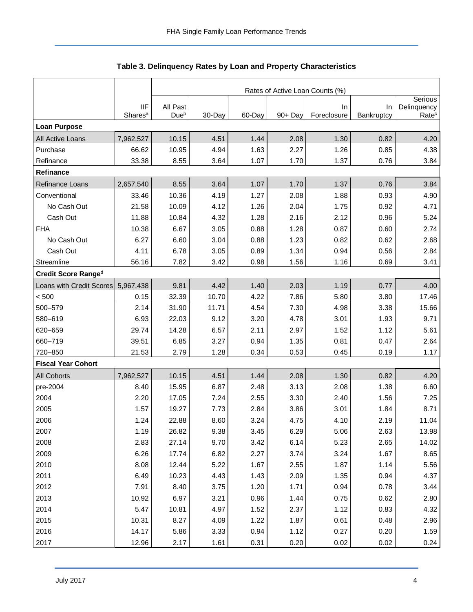<span id="page-4-0"></span>

|                           |                                   | Rates of Active Loan Counts (%) |        |        |         |                   |                         |                                  |  |  |  |
|---------------------------|-----------------------------------|---------------------------------|--------|--------|---------|-------------------|-------------------------|----------------------------------|--|--|--|
|                           |                                   |                                 |        |        |         |                   |                         |                                  |  |  |  |
|                           | <b>IIF</b><br>Shares <sup>a</sup> | All Past<br>Dueb                | 30-Day | 60-Day | 90+ Day | In<br>Foreclosure | <b>In</b><br>Bankruptcy | Delinquency<br>Rate <sup>c</sup> |  |  |  |
| <b>Loan Purpose</b>       |                                   |                                 |        |        |         |                   |                         |                                  |  |  |  |
| All Active Loans          | 7,962,527                         | 10.15                           | 4.51   | 1.44   | 2.08    | 1.30              | 0.82                    | 4.20                             |  |  |  |
| Purchase                  | 66.62                             | 10.95                           | 4.94   | 1.63   | 2.27    | 1.26              | 0.85                    | 4.38                             |  |  |  |
| Refinance                 | 33.38                             | 8.55                            | 3.64   | 1.07   | 1.70    | 1.37              | 0.76                    | 3.84                             |  |  |  |
| Refinance                 |                                   |                                 |        |        |         |                   |                         |                                  |  |  |  |
| Refinance Loans           | 2,657,540                         | 8.55                            | 3.64   | 1.07   | 1.70    | 1.37              | 0.76                    | 3.84                             |  |  |  |
| Conventional              | 33.46                             | 10.36                           | 4.19   | 1.27   | 2.08    | 1.88              | 0.93                    | 4.90                             |  |  |  |
| No Cash Out               | 21.58                             | 10.09                           | 4.12   | 1.26   | 2.04    | 1.75              | 0.92                    | 4.71                             |  |  |  |
| Cash Out                  | 11.88                             | 10.84                           | 4.32   | 1.28   | 2.16    | 2.12              | 0.96                    | 5.24                             |  |  |  |
| <b>FHA</b>                | 10.38                             | 6.67                            | 3.05   | 0.88   | 1.28    | 0.87              | 0.60                    | 2.74                             |  |  |  |
| No Cash Out               | 6.27                              | 6.60                            | 3.04   | 0.88   | 1.23    | 0.82              | 0.62                    | 2.68                             |  |  |  |
| Cash Out                  | 4.11                              | 6.78                            | 3.05   | 0.89   | 1.34    | 0.94              | 0.56                    | 2.84                             |  |  |  |
| Streamline                | 56.16                             | 7.82                            | 3.42   | 0.98   | 1.56    | 1.16              | 0.69                    | 3.41                             |  |  |  |
| Credit Score Ranged       |                                   |                                 |        |        |         |                   |                         |                                  |  |  |  |
| Loans with Credit Scores  | 5,967,438                         | 9.81                            | 4.42   | 1.40   | 2.03    | 1.19              | 0.77                    | 4.00                             |  |  |  |
| < 500                     | 0.15                              | 32.39                           | 10.70  | 4.22   | 7.86    | 5.80              | 3.80                    | 17.46                            |  |  |  |
| 500-579                   | 2.14                              | 31.90                           | 11.71  | 4.54   | 7.30    | 4.98              | 3.38                    | 15.66                            |  |  |  |
| 580-619                   | 6.93                              | 22.03                           | 9.12   | 3.20   | 4.78    | 3.01              | 1.93                    | 9.71                             |  |  |  |
| 620-659                   | 29.74                             | 14.28                           | 6.57   | 2.11   | 2.97    | 1.52              | 1.12                    | 5.61                             |  |  |  |
| 660-719                   | 39.51                             | 6.85                            | 3.27   | 0.94   | 1.35    | 0.81              | 0.47                    | 2.64                             |  |  |  |
| 720-850                   | 21.53                             | 2.79                            | 1.28   | 0.34   | 0.53    | 0.45              | 0.19                    | 1.17                             |  |  |  |
| <b>Fiscal Year Cohort</b> |                                   |                                 |        |        |         |                   |                         |                                  |  |  |  |
| <b>All Cohorts</b>        | 7,962,527                         | 10.15                           | 4.51   | 1.44   | 2.08    | 1.30              | 0.82                    | 4.20                             |  |  |  |
| pre-2004                  | 8.40                              | 15.95                           | 6.87   | 2.48   | 3.13    | 2.08              | 1.38                    | 6.60                             |  |  |  |
| 2004                      | 2.20                              | 17.05                           | 7.24   | 2.55   | 3.30    | 2.40              | 1.56                    | 7.25                             |  |  |  |
| 2005                      | 1.57                              | 19.27                           | 7.73   | 2.84   | 3.86    | 3.01              | 1.84                    | 8.71                             |  |  |  |
| 2006                      | 1.24                              | 22.88                           | 8.60   | 3.24   | 4.75    | 4.10              | 2.19                    | 11.04                            |  |  |  |
| 2007                      | 1.19                              | 26.82                           | 9.38   | 3.45   | 6.29    | 5.06              | 2.63                    | 13.98                            |  |  |  |
| 2008                      | 2.83                              | 27.14                           | 9.70   | 3.42   | 6.14    | 5.23              | 2.65                    | 14.02                            |  |  |  |
| 2009                      | 6.26                              | 17.74                           | 6.82   | 2.27   | 3.74    | 3.24              | 1.67                    | 8.65                             |  |  |  |
| 2010                      | 8.08                              | 12.44                           | 5.22   | 1.67   | 2.55    | 1.87              | 1.14                    | 5.56                             |  |  |  |
| 2011                      | 6.49                              | 10.23                           | 4.43   | 1.43   | 2.09    | 1.35              | 0.94                    | 4.37                             |  |  |  |
| 2012                      | 7.91                              | 8.40                            | 3.75   | 1.20   | 1.71    | 0.94              | 0.78                    | 3.44                             |  |  |  |
| 2013                      | 10.92                             | 6.97                            | 3.21   | 0.96   | 1.44    | 0.75              | 0.62                    | 2.80                             |  |  |  |
| 2014                      | 5.47                              | 10.81                           | 4.97   | 1.52   | 2.37    | 1.12              | 0.83                    | 4.32                             |  |  |  |
| 2015                      | 10.31                             | 8.27                            | 4.09   | 1.22   | 1.87    | 0.61              | 0.48                    | 2.96                             |  |  |  |
| 2016                      | 14.17                             | 5.86                            | 3.33   | 0.94   | 1.12    | 0.27              | 0.20                    | 1.59                             |  |  |  |
| 2017                      | 12.96                             | 2.17                            | 1.61   | 0.31   | 0.20    | 0.02              | 0.02                    | 0.24                             |  |  |  |

## **Table 3. Delinquency Rates by Loan and Property Characteristics**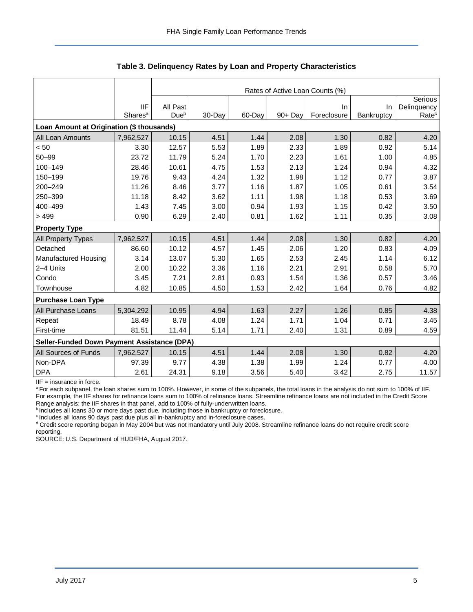|                                             |                     | Rates of Active Loan Counts (%) |        |        |            |             |            |                   |  |  |
|---------------------------------------------|---------------------|---------------------------------|--------|--------|------------|-------------|------------|-------------------|--|--|
|                                             |                     |                                 |        |        |            |             |            | Serious           |  |  |
|                                             | <b>IIF</b>          | All Past                        |        |        |            | <b>In</b>   | In         | Delinquency       |  |  |
|                                             | Shares <sup>a</sup> | Due <sup>b</sup>                | 30-Day | 60-Day | $90 +$ Dav | Foreclosure | Bankruptcy | Rate <sup>c</sup> |  |  |
| Loan Amount at Origination (\$ thousands)   |                     |                                 |        |        |            |             |            |                   |  |  |
| All Loan Amounts                            | 7,962,527           | 10.15                           | 4.51   | 1.44   | 2.08       | 1.30        | 0.82       | 4.20              |  |  |
| < 50                                        | 3.30                | 12.57                           | 5.53   | 1.89   | 2.33       | 1.89        | 0.92       | 5.14              |  |  |
| $50 - 99$                                   | 23.72               | 11.79                           | 5.24   | 1.70   | 2.23       | 1.61        | 1.00       | 4.85              |  |  |
| 100-149                                     | 28.46               | 10.61                           | 4.75   | 1.53   | 2.13       | 1.24        | 0.94       | 4.32              |  |  |
| 150-199                                     | 19.76               | 9.43                            | 4.24   | 1.32   | 1.98       | 1.12        | 0.77       | 3.87              |  |  |
| 200-249                                     | 11.26               | 8.46                            | 3.77   | 1.16   | 1.87       | 1.05        | 0.61       | 3.54              |  |  |
| 250-399                                     | 11.18               | 8.42                            | 3.62   | 1.11   | 1.98       | 1.18        | 0.53       | 3.69              |  |  |
| 400-499                                     | 1.43                | 7.45                            | 3.00   | 0.94   | 1.93       | 1.15        | 0.42       | 3.50              |  |  |
| >499                                        | 0.90                | 6.29                            | 2.40   | 0.81   | 1.62       | 1.11        | 0.35       | 3.08              |  |  |
| <b>Property Type</b>                        |                     |                                 |        |        |            |             |            |                   |  |  |
| All Property Types                          | 7,962,527           | 10.15                           | 4.51   | 1.44   | 2.08       | 1.30        | 0.82       | 4.20              |  |  |
| Detached                                    | 86.60               | 10.12                           | 4.57   | 1.45   | 2.06       | 1.20        | 0.83       | 4.09              |  |  |
| Manufactured Housing                        | 3.14                | 13.07                           | 5.30   | 1.65   | 2.53       | 2.45        | 1.14       | 6.12              |  |  |
| 2-4 Units                                   | 2.00                | 10.22                           | 3.36   | 1.16   | 2.21       | 2.91        | 0.58       | 5.70              |  |  |
| Condo                                       | 3.45                | 7.21                            | 2.81   | 0.93   | 1.54       | 1.36        | 0.57       | 3.46              |  |  |
| Townhouse                                   | 4.82                | 10.85                           | 4.50   | 1.53   | 2.42       | 1.64        | 0.76       | 4.82              |  |  |
| <b>Purchase Loan Type</b>                   |                     |                                 |        |        |            |             |            |                   |  |  |
| All Purchase Loans                          | 5,304,292           | 10.95                           | 4.94   | 1.63   | 2.27       | 1.26        | 0.85       | 4.38              |  |  |
| Repeat                                      | 18.49               | 8.78                            | 4.08   | 1.24   | 1.71       | 1.04        | 0.71       | 3.45              |  |  |
| First-time                                  | 81.51               | 11.44                           | 5.14   | 1.71   | 2.40       | 1.31        | 0.89       | 4.59              |  |  |
| Seller-Funded Down Payment Assistance (DPA) |                     |                                 |        |        |            |             |            |                   |  |  |
| All Sources of Funds                        | 7,962,527           | 10.15                           | 4.51   | 1.44   | 2.08       | 1.30        | 0.82       | 4.20              |  |  |
| Non-DPA                                     | 97.39               | 9.77                            | 4.38   | 1.38   | 1.99       | 1.24        | 0.77       | 4.00              |  |  |
| <b>DPA</b>                                  | 2.61                | 24.31                           | 9.18   | 3.56   | 5.40       | 3.42        | 2.75       | 11.57             |  |  |
|                                             |                     |                                 |        |        |            |             |            |                   |  |  |

**Table 3. Delinquency Rates by Loan and Property Characteristics**

IIF = insurance in force.

<sup>a</sup> For each subpanel, the loan shares sum to 100%. However, in some of the subpanels, the total loans in the analysis do not sum to 100% of IIF. For example, the IIF shares for refinance loans sum to 100% of refinance loans. Streamline refinance loans are not included in the Credit Score Range analysis; the IIF shares in that panel, add to 100% of fully-underwritten loans.

**b** Includes all loans 30 or more days past due, including those in bankruptcy or foreclosure.

<sup>c</sup> Includes all loans 90 days past due plus all in-bankruptcy and in-foreclosure cases.

d Credit score reporting began in May 2004 but was not mandatory until July 2008. Streamline refinance loans do not require credit score reporting.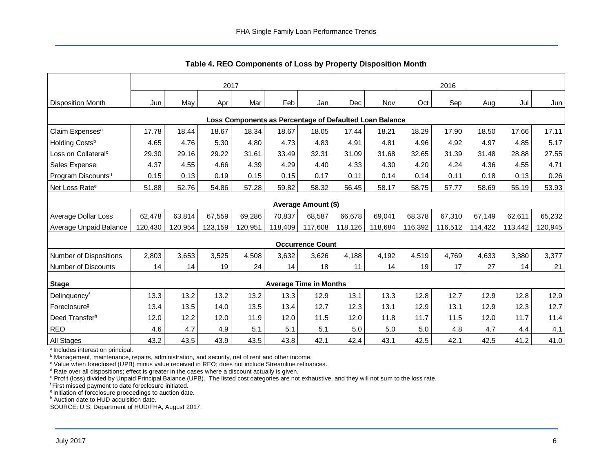<span id="page-6-0"></span>

|                                                         | 2017    |         |         |         |                               |                         | 2016    |         |         |         |         |         |         |
|---------------------------------------------------------|---------|---------|---------|---------|-------------------------------|-------------------------|---------|---------|---------|---------|---------|---------|---------|
| <b>Disposition Month</b>                                | Jun     | May     | Apr     | Mar     | Feb                           | Jan                     | Dec     | Nov     | Oct     | Sep     | Aug     | Jul     | Jun     |
| Loss Components as Percentage of Defaulted Loan Balance |         |         |         |         |                               |                         |         |         |         |         |         |         |         |
| Claim Expenses <sup>a</sup>                             | 17.78   | 18.44   | 18.67   | 18.34   | 18.67                         | 18.05                   | 17.44   | 18.21   | 18.29   | 17.90   | 18.50   | 17.66   | 17.11   |
| Holding Costsb                                          | 4.65    | 4.76    | 5.30    | 4.80    | 4.73                          | 4.83                    | 4.91    | 4.81    | 4.96    | 4.92    | 4.97    | 4.85    | 5.17    |
| Loss on Collateral <sup>c</sup>                         | 29.30   | 29.16   | 29.22   | 31.61   | 33.49                         | 32.31                   | 31.09   | 31.68   | 32.65   | 31.39   | 31.48   | 28.88   | 27.55   |
| Sales Expense                                           | 4.37    | 4.55    | 4.66    | 4.39    | 4.29                          | 4.40                    | 4.33    | 4.30    | 4.20    | 4.24    | 4.36    | 4.55    | 4.71    |
| Program Discounts <sup>d</sup>                          | 0.15    | 0.13    | 0.19    | 0.15    | 0.15                          | 0.17                    | 0.11    | 0.14    | 0.14    | 0.11    | 0.18    | 0.13    | 0.26    |
| Net Loss Rate <sup>e</sup>                              | 51.88   | 52.76   | 54.86   | 57.28   | 59.82                         | 58.32                   | 56.45   | 58.17   | 58.75   | 57.77   | 58.69   | 55.19   | 53.93   |
| Average Amount (\$)                                     |         |         |         |         |                               |                         |         |         |         |         |         |         |         |
| Average Dollar Loss                                     | 62,478  | 63,814  | 67,559  | 69,286  | 70,837                        | 68,587                  | 66,678  | 69,041  | 68,378  | 67,310  | 67,149  | 62,611  | 65,232  |
| Average Unpaid Balance                                  | 120,430 | 120,954 | 123,159 | 120,951 | 118,409                       | 117,608                 | 118,126 | 118,684 | 116,392 | 116,512 | 114,422 | 113,442 | 120,945 |
|                                                         |         |         |         |         |                               | <b>Occurrence Count</b> |         |         |         |         |         |         |         |
| Number of Dispositions                                  | 2,803   | 3,653   | 3,525   | 4,508   | 3,632                         | 3,626                   | 4,188   | 4,192   | 4,519   | 4,769   | 4,633   | 3,380   | 3,377   |
| <b>Number of Discounts</b>                              | 14      | 14      | 19      | 24      | 14                            | 18                      | 11      | 14      | 19      | 17      | 27      | 14      | 21      |
| <b>Stage</b>                                            |         |         |         |         | <b>Average Time in Months</b> |                         |         |         |         |         |         |         |         |
| Delinquencyf                                            | 13.3    | 13.2    | 13.2    | 13.2    | 13.3                          | 12.9                    | 13.1    | 13.3    | 12.8    | 12.7    | 12.9    | 12.8    | 12.9    |
| Foreclosure <sup>g</sup>                                | 13.4    | 13.5    | 14.0    | 13.5    | 13.4                          | 12.7                    | 12.3    | 13.1    | 12.9    | 13.1    | 12.9    | 12.3    | 12.7    |
| Deed Transferh                                          | 12.0    | 12.2    | 12.0    | 11.9    | 12.0                          | 11.5                    | 12.0    | 11.8    | 11.7    | 11.5    | 12.0    | 11.7    | 11.4    |
| <b>REO</b>                                              | 4.6     | 4.7     | 4.9     | 5.1     | 5.1                           | 5.1                     | 5.0     | 5.0     | 5.0     | 4.8     | 4.7     | 4.4     | 4.1     |
| <b>All Stages</b>                                       | 43.2    | 43.5    | 43.9    | 43.5    | 43.8                          | 42.1                    | 42.4    | 43.1    | 42.5    | 42.1    | 42.5    | 41.2    | 41.0    |

**Table 4. REO Components of Loss by Property Disposition Month**

<sup>a</sup> Includes interest on principal.

b Management, maintenance, repairs, administration, and security, net of rent and other income.

<sup>c</sup> Value when foreclosed (UPB) minus value received in REO; does not include Streamline refinances.

 $d$  Rate over all dispositions; effect is greater in the cases where a discount actually is given.

e Profit (loss) divided by Unpaid Principal Balance (UPB). The listed cost categories are not exhaustive, and they will not sum to the loss rate.

<sup>f</sup> First missed payment to date foreclosure initiated.

<sup>g</sup> Initiation of foreclosure proceedings to auction date.

h Auction date to HUD acquisition date.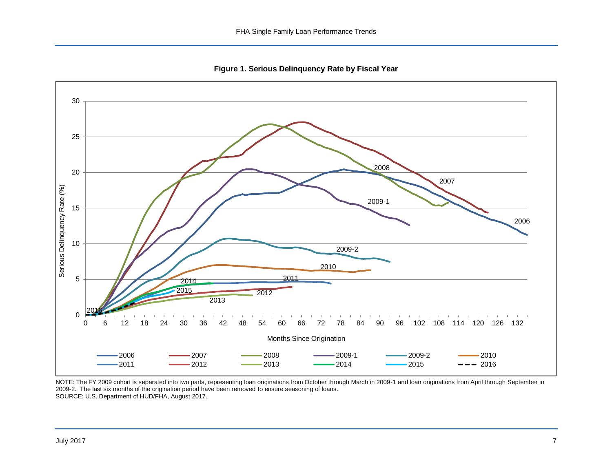**Figure 1. Serious Delinquency Rate by Fiscal Year**

<span id="page-7-0"></span>

NOTE: The FY 2009 cohort is separated into two parts, representing loan originations from October through March in 2009-1 and loan originations from April through September in 2009-2. The last six months of the origination period have been removed to ensure seasoning of loans. SOURCE: U.S. Department of HUD/FHA, August 2017.